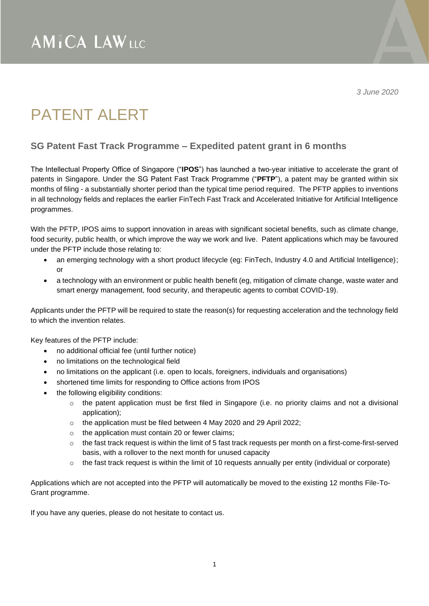*3 June 2020*

## PATENT ALERT

## **SG Patent Fast Track Programme – Expedited patent grant in 6 months**

The Intellectual Property Office of Singapore ("**IPOS**") has launched a two-year initiative to accelerate the grant of patents in Singapore. Under the SG Patent Fast Track Programme ("**PFTP**"), a patent may be granted within six months of filing - a substantially shorter period than the typical time period required. The PFTP applies to inventions in all technology fields and replaces the earlier FinTech Fast Track and Accelerated Initiative for Artificial Intelligence programmes.

With the PFTP, IPOS aims to support innovation in areas with significant societal benefits, such as climate change, food security, public health, or which improve the way we work and live. Patent applications which may be favoured under the PFTP include those relating to:

- an emerging technology with a short product lifecycle (eg: FinTech, Industry 4.0 and Artificial Intelligence); or
- a technology with an environment or public health benefit (eg, mitigation of climate change, waste water and smart energy management, food security, and therapeutic agents to combat COVID-19).

Applicants under the PFTP will be required to state the reason(s) for requesting acceleration and the technology field to which the invention relates.

Key features of the PFTP include:

- no additional official fee (until further notice)
- no limitations on the technological field
- no limitations on the applicant (i.e. open to locals, foreigners, individuals and organisations)
- shortened time limits for responding to Office actions from IPOS
- the following eligibility conditions:
	- $\circ$  the patent application must be first filed in Singapore (i.e. no priority claims and not a divisional application);
	- o the application must be filed between 4 May 2020 and 29 April 2022;
	- $\circ$  the application must contain 20 or fewer claims;
	- $\circ$  the fast track request is within the limit of 5 fast track requests per month on a first-come-first-served basis, with a rollover to the next month for unused capacity
	- $\circ$  the fast track request is within the limit of 10 requests annually per entity (individual or corporate)

Applications which are not accepted into the PFTP will automatically be moved to the existing 12 months File-To-Grant programme.

If you have any queries, please do not hesitate to contact us.